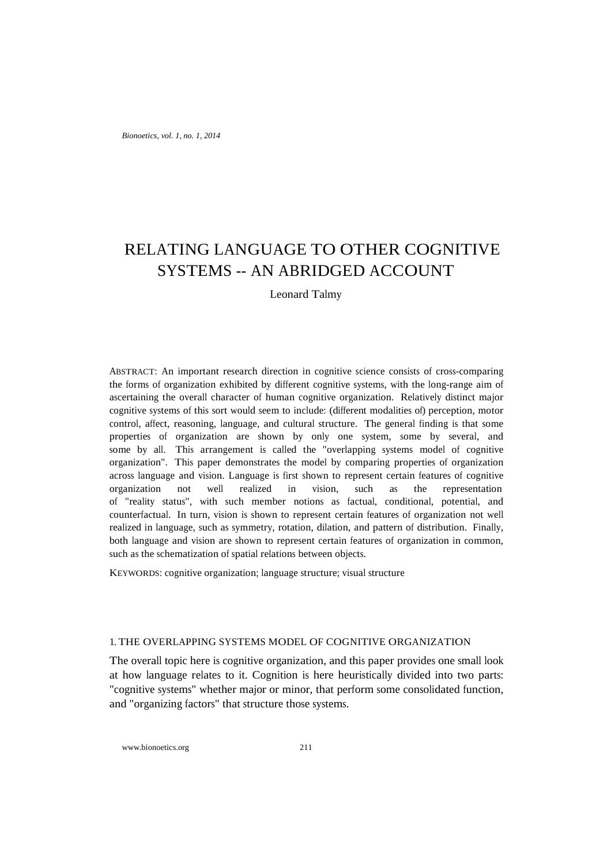*Bionoetics, vol. 1, no. 1, 2014*

# RELATING LANGUAGE TO OTHER COGNITIVE SYSTEMS -- AN ABRIDGED ACCOUNT

Leonard Talmy

ABSTRACT: An important research direction in cognitive science consists of cross-comparing the forms of organization exhibited by different cognitive systems, with the long-range aim of ascertaining the overall character of human cognitive organization. Relatively distinct major cognitive systems of this sort would seem to include: (different modalities of) perception, motor control, affect, reasoning, language, and cultural structure. The general finding is that some properties of organization are shown by only one system, some by several, and some by all. This arrangement is called the "overlapping systems model of cognitive organization". This paper demonstrates the model by comparing properties of organization across language and vision. Language is first shown to represent certain features of cognitive organization not well realized in vision, such as the representation of "reality status", with such member notions as factual, conditional, potential, and counterfactual. In turn, vision is shown to represent certain features of organization not well realized in language, such as symmetry, rotation, dilation, and pattern of distribution. Finally, both language and vision are shown to represent certain features of organization in common, such as the schematization of spatial relations between objects.

KEYWORDS: cognitive organization; language structure; visual structure

# 1. THE OVERLAPPING SYSTEMS MODEL OF COGNITIVE ORGANIZATION

The overall topic here is cognitive organization, and this paper provides one small look at how language relates to it. Cognition is here heuristically divided into two parts: "cognitive systems" whether major or minor, that perform some consolidated function, and "organizing factors" that structure those systems.

www.bionoetics.org 211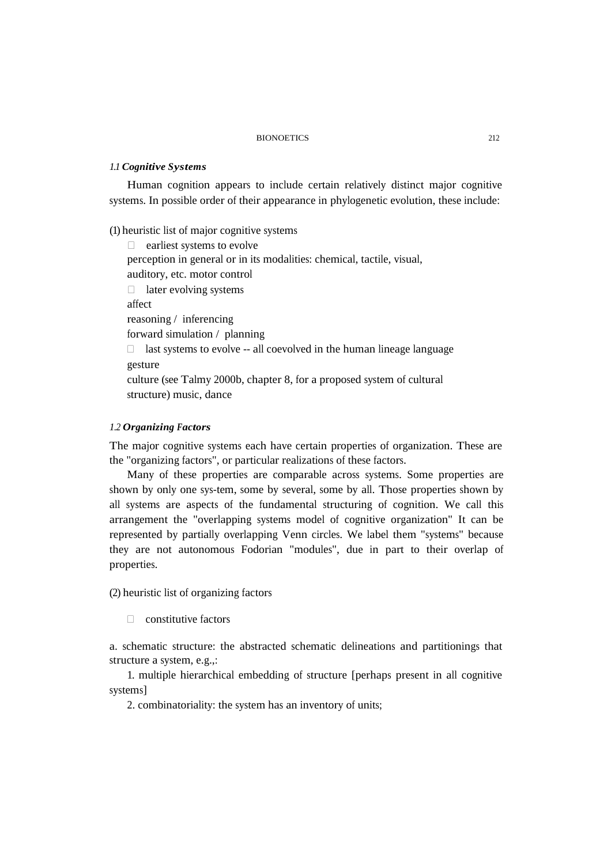### *1.1 Cognitive Systems*

Human cognition appears to include certain relatively distinct major cognitive systems. In possible order of their appearance in phylogenetic evolution, these include:

# (1) heuristic list of major cognitive systems

```
\Box earliest systems to evolve
perception in general or in its modalities: chemical, tactile, visual, 
auditory, etc. motor control
\Box later evolving systems
affect
reasoning / inferencing
forward simulation / planning
\Box last systems to evolve -- all coevolved in the human lineage language
gesture
culture (see Talmy 2000b, chapter 8, for a proposed system of cultural
structure) music, dance
```
# *1.2 Organizing Factors*

The major cognitive systems each have certain properties of organization. These are the "organizing factors", or particular realizations of these factors.

Many of these properties are comparable across systems. Some properties are shown by only one sys-tem, some by several, some by all. Those properties shown by all systems are aspects of the fundamental structuring of cognition. We call this arrangement the "overlapping systems model of cognitive organization" It can be represented by partially overlapping Venn circles. We label them "systems" because they are not autonomous Fodorian "modules", due in part to their overlap of properties.

(2) heuristic list of organizing factors

 $\Box$  constitutive factors

a. schematic structure: the abstracted schematic delineations and partitionings that structure a system, e.g.,:

1. multiple hierarchical embedding of structure [perhaps present in all cognitive systems]

2. combinatoriality: the system has an inventory of units;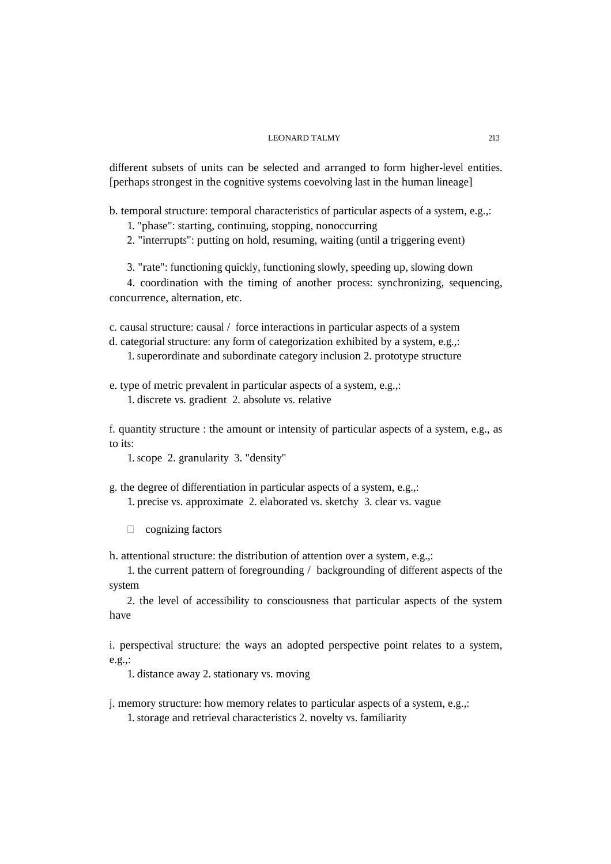different subsets of units can be selected and arranged to form higher-level entities. [perhaps strongest in the cognitive systems coevolving last in the human lineage]

b. temporal structure: temporal characteristics of particular aspects of a system, e.g.,:

1. "phase": starting, continuing, stopping, nonoccurring

2. "interrupts": putting on hold, resuming, waiting (until a triggering event)

3. "rate": functioning quickly, functioning slowly, speeding up, slowing down

4. coordination with the timing of another process: synchronizing, sequencing, concurrence, alternation, etc.

c. causal structure: causal / force interactions in particular aspects of a system

d. categorial structure: any form of categorization exhibited by a system, e.g.,:

1. superordinate and subordinate category inclusion 2. prototype structure

e. type of metric prevalent in particular aspects of a system, e.g.,: 1. discrete vs. gradient 2. absolute vs. relative

f. quantity structure : the amount or intensity of particular aspects of a system, e.g., as to its:

1. scope 2. granularity 3. "density"

g. the degree of differentiation in particular aspects of a system, e.g.,: 1. precise vs. approximate 2. elaborated vs. sketchy 3. clear vs. vague

 $\Box$  cognizing factors

h. attentional structure: the distribution of attention over a system, e.g.,:

1. the current pattern of foregrounding / backgrounding of different aspects of the system

2. the level of accessibility to consciousness that particular aspects of the system have

i. perspectival structure: the ways an adopted perspective point relates to a system, e.g.,:

1. distance away 2. stationary vs. moving

j. memory structure: how memory relates to particular aspects of a system, e.g.,: 1. storage and retrieval characteristics 2. novelty vs. familiarity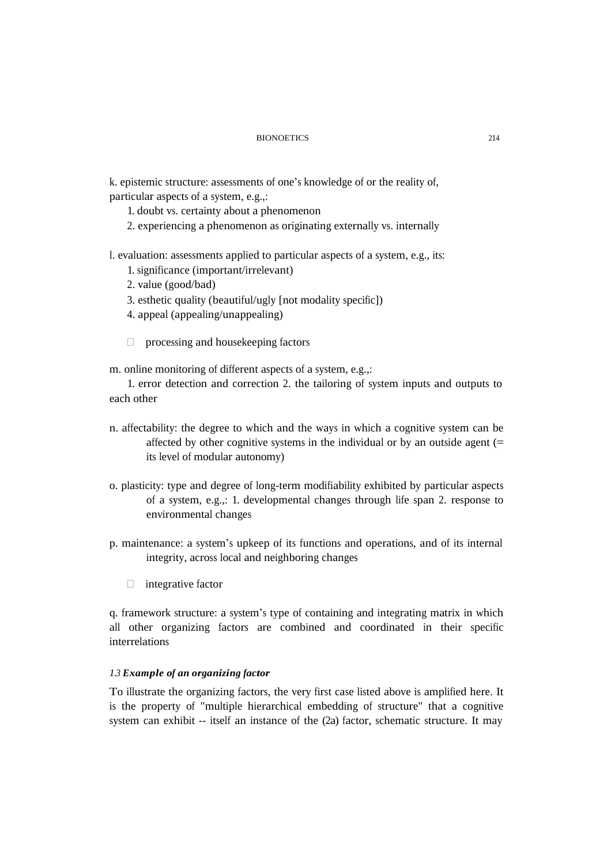k. epistemic structure: assessments of one's knowledge of or the reality of, particular aspects of a system, e.g.,:

1. doubt vs. certainty about a phenomenon

2. experiencing a phenomenon as originating externally vs. internally

l. evaluation: assessments applied to particular aspects of a system, e.g., its:

1. significance (important/irrelevant)

2. value (good/bad)

3. esthetic quality (beautiful/ugly [not modality specific])

4. appeal (appealing/unappealing)

 $\Box$  processing and house keeping factors

m. online monitoring of different aspects of a system, e.g.,:

1. error detection and correction 2. the tailoring of system inputs and outputs to each other

- n. affectability: the degree to which and the ways in which a cognitive system can be affected by other cognitive systems in the individual or by an outside agent  $(=$ its level of modular autonomy)
- o. plasticity: type and degree of long-term modifiability exhibited by particular aspects of a system, e.g.,: 1. developmental changes through life span 2. response to environmental changes
- p. maintenance: a system's upkeep of its functions and operations, and of its internal integrity, across local and neighboring changes
	- $\Box$  integrative factor

q. framework structure: a system's type of containing and integrating matrix in which all other organizing factors are combined and coordinated in their specific interrelations

### *1.3 Example of an organizing factor*

To illustrate the organizing factors, the very first case listed above is amplified here. It is the property of "multiple hierarchical embedding of structure" that a cognitive system can exhibit -- itself an instance of the (2a) factor, schematic structure. It may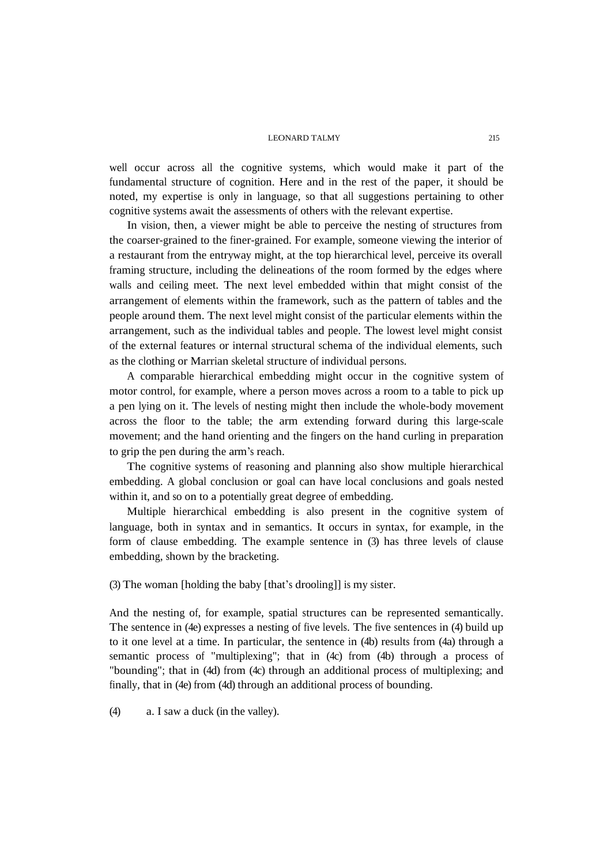well occur across all the cognitive systems, which would make it part of the fundamental structure of cognition. Here and in the rest of the paper, it should be noted, my expertise is only in language, so that all suggestions pertaining to other cognitive systems await the assessments of others with the relevant expertise.

In vision, then, a viewer might be able to perceive the nesting of structures from the coarser-grained to the finer-grained. For example, someone viewing the interior of a restaurant from the entryway might, at the top hierarchical level, perceive its overall framing structure, including the delineations of the room formed by the edges where walls and ceiling meet. The next level embedded within that might consist of the arrangement of elements within the framework, such as the pattern of tables and the people around them. The next level might consist of the particular elements within the arrangement, such as the individual tables and people. The lowest level might consist of the external features or internal structural schema of the individual elements, such as the clothing or Marrian skeletal structure of individual persons.

A comparable hierarchical embedding might occur in the cognitive system of motor control, for example, where a person moves across a room to a table to pick up a pen lying on it. The levels of nesting might then include the whole-body movement across the floor to the table; the arm extending forward during this large-scale movement; and the hand orienting and the fingers on the hand curling in preparation to grip the pen during the arm's reach.

The cognitive systems of reasoning and planning also show multiple hierarchical embedding. A global conclusion or goal can have local conclusions and goals nested within it, and so on to a potentially great degree of embedding.

Multiple hierarchical embedding is also present in the cognitive system of language, both in syntax and in semantics. It occurs in syntax, for example, in the form of clause embedding. The example sentence in (3) has three levels of clause embedding, shown by the bracketing.

(3) The woman [holding the baby [that's drooling]] is my sister.

And the nesting of, for example, spatial structures can be represented semantically. The sentence in (4e) expresses a nesting of five levels. The five sentences in (4) build up to it one level at a time. In particular, the sentence in (4b) results from (4a) through a semantic process of "multiplexing"; that in (4c) from (4b) through a process of "bounding"; that in (4d) from (4c) through an additional process of multiplexing; and finally, that in (4e) from (4d) through an additional process of bounding.

(4) a. I saw a duck (in the valley).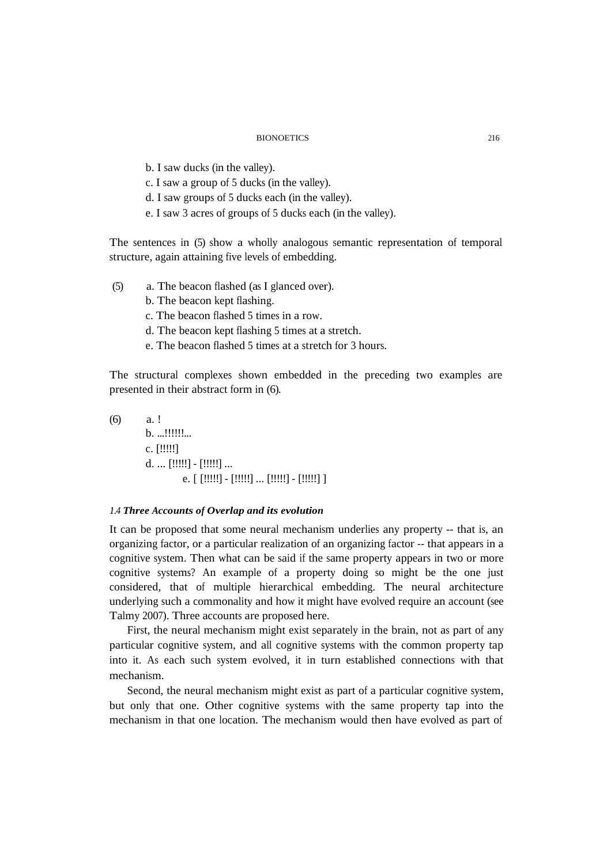b. I saw ducks (in the valley).

c. I saw a group of 5 ducks (in the valley).

- d. I saw groups of 5 ducks each (in the valley).
- e. I saw 3 acres of groups of 5 ducks each (in the valley).

The sentences in (5) show a wholly analogous semantic representation of temporal structure, again attaining five levels of embedding.

(5) a. The beacon flashed (as I glanced over). b. The beacon kept flashing. c. The beacon flashed 5 times in a row. d. The beacon kept flashing 5 times at a stretch. e. The beacon flashed 5 times at a stretch for 3 hours.

The structural complexes shown embedded in the preceding two examples are presented in their abstract form in (6).

(6) a. ! b. ...!!!!!!... c. [!!!!!] d. ... [!!!!!] - [!!!!!] ... e.  $[$  [!!!!!] - [!!!!!] ... [!!!!!] - [!!!!!] ]

# *1.4 Three Accounts of Overlap and its evolution*

It can be proposed that some neural mechanism underlies any property -- that is, an organizing factor, or a particular realization of an organizing factor -- that appears in a cognitive system. Then what can be said if the same property appears in two or more cognitive systems? An example of a property doing so might be the one just considered, that of multiple hierarchical embedding. The neural architecture underlying such a commonality and how it might have evolved require an account (see Talmy 2007). Three accounts are proposed here.

First, the neural mechanism might exist separately in the brain, not as part of any particular cognitive system, and all cognitive systems with the common property tap into it. As each such system evolved, it in turn established connections with that mechanism.

Second, the neural mechanism might exist as part of a particular cognitive system, but only that one. Other cognitive systems with the same property tap into the mechanism in that one location. The mechanism would then have evolved as part of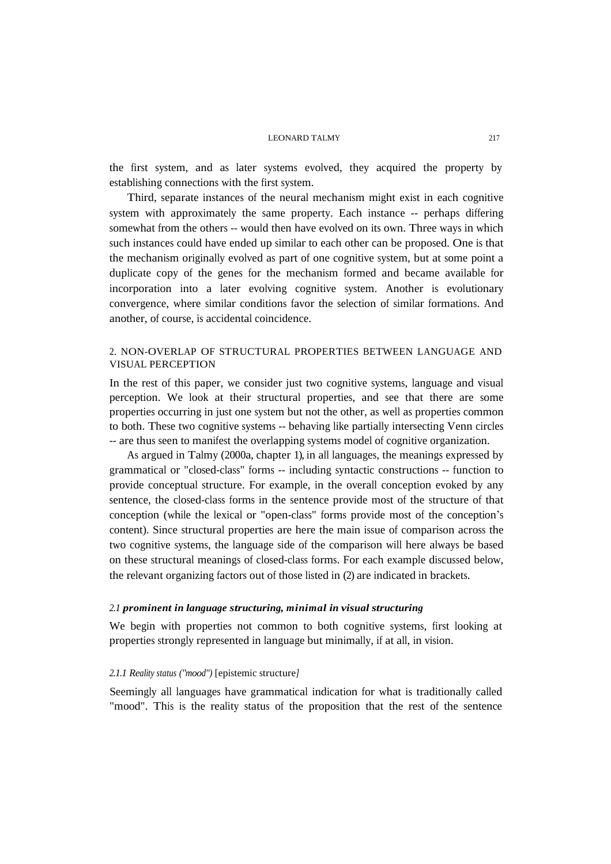the first system, and as later systems evolved, they acquired the property by establishing connections with the first system.

Third, separate instances of the neural mechanism might exist in each cognitive system with approximately the same property. Each instance -- perhaps differing somewhat from the others -- would then have evolved on its own. Three ways in which such instances could have ended up similar to each other can be proposed. One is that the mechanism originally evolved as part of one cognitive system, but at some point a duplicate copy of the genes for the mechanism formed and became available for incorporation into a later evolving cognitive system. Another is evolutionary convergence, where similar conditions favor the selection of similar formations. And another, of course, is accidental coincidence.

# 2. NON-OVERLAP OF STRUCTURAL PROPERTIES BETWEEN LANGUAGE AND VISUAL PERCEPTION

In the rest of this paper, we consider just two cognitive systems, language and visual perception. We look at their structural properties, and see that there are some properties occurring in just one system but not the other, as well as properties common to both. These two cognitive systems -- behaving like partially intersecting Venn circles -- are thus seen to manifest the overlapping systems model of cognitive organization.

As argued in Talmy (2000a, chapter 1), in all languages, the meanings expressed by grammatical or "closed-class" forms -- including syntactic constructions -- function to provide conceptual structure. For example, in the overall conception evoked by any sentence, the closed-class forms in the sentence provide most of the structure of that conception (while the lexical or "open-class" forms provide most of the conception's content). Since structural properties are here the main issue of comparison across the two cognitive systems, the language side of the comparison will here always be based on these structural meanings of closed-class forms. For each example discussed below, the relevant organizing factors out of those listed in (2) are indicated in brackets.

### *2.1 prominent in language structuring, minimal in visual structuring*

We begin with properties not common to both cognitive systems, first looking at properties strongly represented in language but minimally, if at all, in vision.

### *2.1.1 Reality status ("mood")* [epistemic structure*]*

Seemingly all languages have grammatical indication for what is traditionally called "mood". This is the reality status of the proposition that the rest of the sentence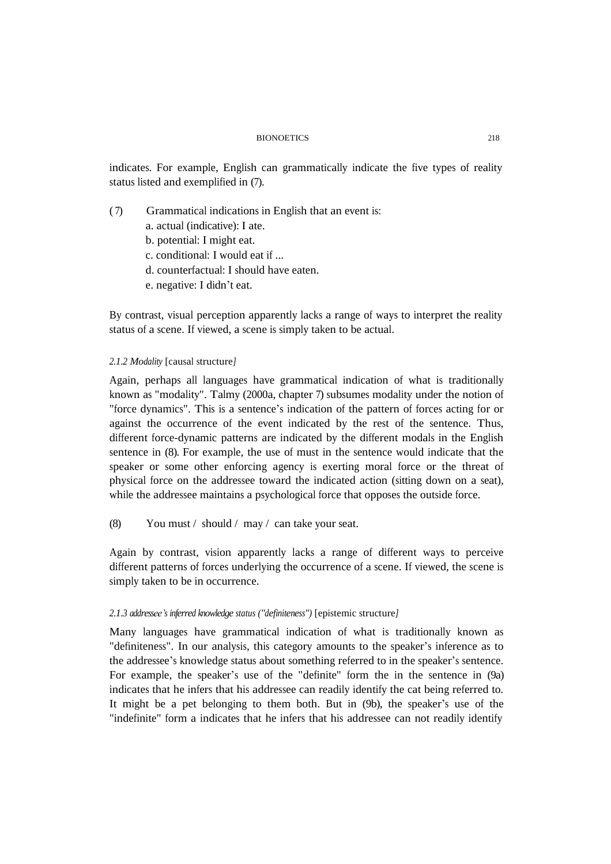indicates. For example, English can grammatically indicate the five types of reality status listed and exemplified in (7).

- ( 7) Grammatical indications in English that an event is:
	- a. actual (indicative): I ate.
	- b. potential: I might eat.
	- c. conditional: I would eat if ...
	- d. counterfactual: I should have eaten.
	- e. negative: I didn't eat.

By contrast, visual perception apparently lacks a range of ways to interpret the reality status of a scene. If viewed, a scene is simply taken to be actual.

# *2.1.2 Modality* [causal structure*]*

Again, perhaps all languages have grammatical indication of what is traditionally known as "modality". Talmy (2000a, chapter 7) subsumes modality under the notion of "force dynamics". This is a sentence's indication of the pattern of forces acting for or against the occurrence of the event indicated by the rest of the sentence. Thus, different force-dynamic patterns are indicated by the different modals in the English sentence in (8). For example, the use of must in the sentence would indicate that the speaker or some other enforcing agency is exerting moral force or the threat of physical force on the addressee toward the indicated action (sitting down on a seat), while the addressee maintains a psychological force that opposes the outside force.

(8) You must / should / may / can take your seat.

Again by contrast, vision apparently lacks a range of different ways to perceive different patterns of forces underlying the occurrence of a scene. If viewed, the scene is simply taken to be in occurrence.

# *2.1.3 addressee's inferred knowledge status ("definiteness")* [epistemic structure*]*

Many languages have grammatical indication of what is traditionally known as "definiteness". In our analysis, this category amounts to the speaker's inference as to the addressee's knowledge status about something referred to in the speaker's sentence. For example, the speaker's use of the "definite" form the in the sentence in (9a) indicates that he infers that his addressee can readily identify the cat being referred to. It might be a pet belonging to them both. But in (9b), the speaker's use of the "indefinite" form a indicates that he infers that his addressee can not readily identify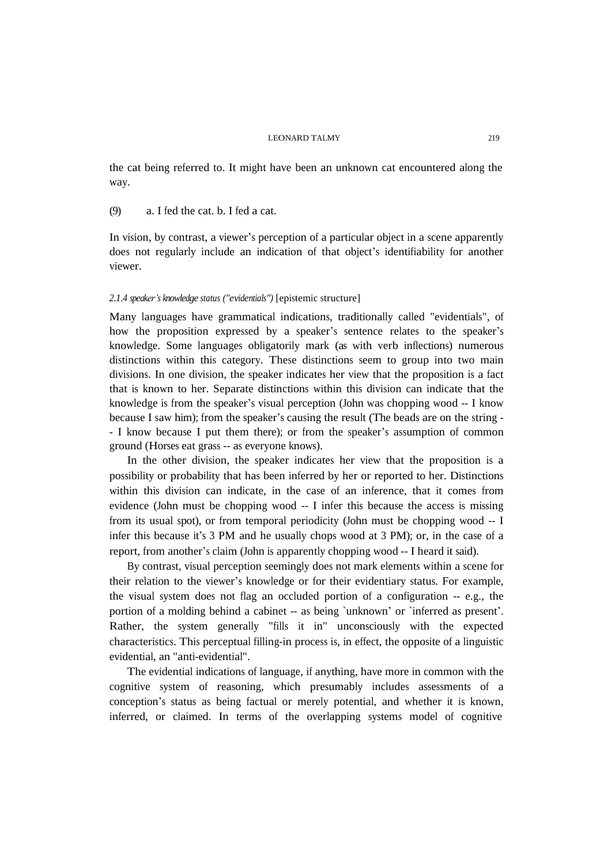the cat being referred to. It might have been an unknown cat encountered along the way.

(9) a. I fed the cat. b. I fed a cat.

In vision, by contrast, a viewer's perception of a particular object in a scene apparently does not regularly include an indication of that object's identifiability for another viewer.

# *2.1.4 speaker's knowledge status ("evidentials")* [epistemic structure]

Many languages have grammatical indications, traditionally called "evidentials", of how the proposition expressed by a speaker's sentence relates to the speaker's knowledge. Some languages obligatorily mark (as with verb inflections) numerous distinctions within this category. These distinctions seem to group into two main divisions. In one division, the speaker indicates her view that the proposition is a fact that is known to her. Separate distinctions within this division can indicate that the knowledge is from the speaker's visual perception (John was chopping wood -- I know because I saw him); from the speaker's causing the result (The beads are on the string - - I know because I put them there); or from the speaker's assumption of common ground (Horses eat grass -- as everyone knows).

In the other division, the speaker indicates her view that the proposition is a possibility or probability that has been inferred by her or reported to her. Distinctions within this division can indicate, in the case of an inference, that it comes from evidence (John must be chopping wood -- I infer this because the access is missing from its usual spot), or from temporal periodicity (John must be chopping wood -- I infer this because it's 3 PM and he usually chops wood at 3 PM); or, in the case of a report, from another's claim (John is apparently chopping wood -- I heard it said).

By contrast, visual perception seemingly does not mark elements within a scene for their relation to the viewer's knowledge or for their evidentiary status. For example, the visual system does not flag an occluded portion of a configuration -- e.g., the portion of a molding behind a cabinet -- as being `unknown' or `inferred as present'. Rather, the system generally "fills it in" unconsciously with the expected characteristics. This perceptual filling-in process is, in effect, the opposite of a linguistic evidential, an "anti-evidential".

The evidential indications of language, if anything, have more in common with the cognitive system of reasoning, which presumably includes assessments of a conception's status as being factual or merely potential, and whether it is known, inferred, or claimed. In terms of the overlapping systems model of cognitive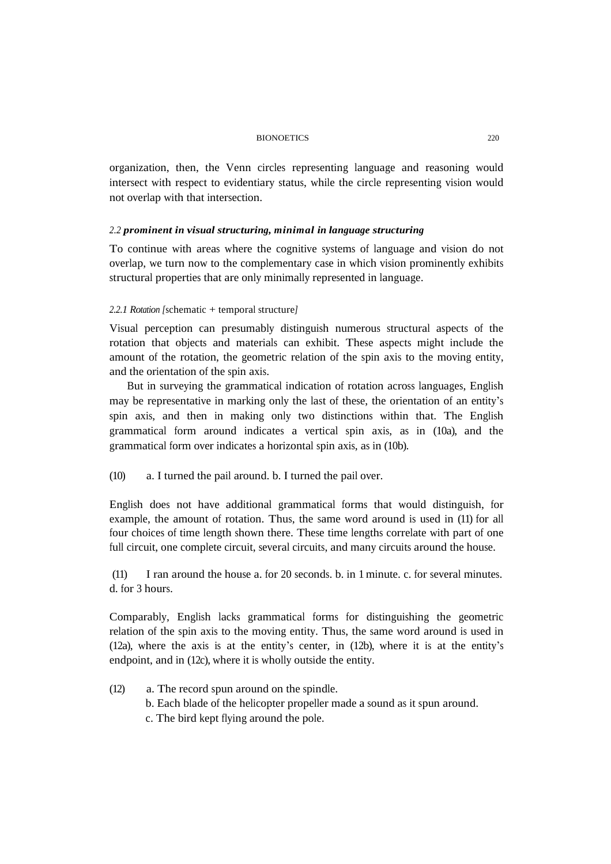organization, then, the Venn circles representing language and reasoning would intersect with respect to evidentiary status, while the circle representing vision would not overlap with that intersection.

# *2.2 prominent in visual structuring, minimal in language structuring*

To continue with areas where the cognitive systems of language and vision do not overlap, we turn now to the complementary case in which vision prominently exhibits structural properties that are only minimally represented in language.

### *2.2.1 Rotation [*schematic + temporal structure*]*

Visual perception can presumably distinguish numerous structural aspects of the rotation that objects and materials can exhibit. These aspects might include the amount of the rotation, the geometric relation of the spin axis to the moving entity, and the orientation of the spin axis.

But in surveying the grammatical indication of rotation across languages, English may be representative in marking only the last of these, the orientation of an entity's spin axis, and then in making only two distinctions within that. The English grammatical form around indicates a vertical spin axis, as in (10a), and the grammatical form over indicates a horizontal spin axis, as in (10b).

(10) a. I turned the pail around. b. I turned the pail over.

English does not have additional grammatical forms that would distinguish, for example, the amount of rotation. Thus, the same word around is used in (11) for all four choices of time length shown there. These time lengths correlate with part of one full circuit, one complete circuit, several circuits, and many circuits around the house.

(11) I ran around the house a. for 20 seconds. b. in 1minute. c. for several minutes. d. for 3 hours.

Comparably, English lacks grammatical forms for distinguishing the geometric relation of the spin axis to the moving entity. Thus, the same word around is used in (12a), where the axis is at the entity's center, in (12b), where it is at the entity's endpoint, and in (12c), where it is wholly outside the entity.

- (12) a. The record spun around on the spindle.
	- b. Each blade of the helicopter propeller made a sound as it spun around.
	- c. The bird kept flying around the pole.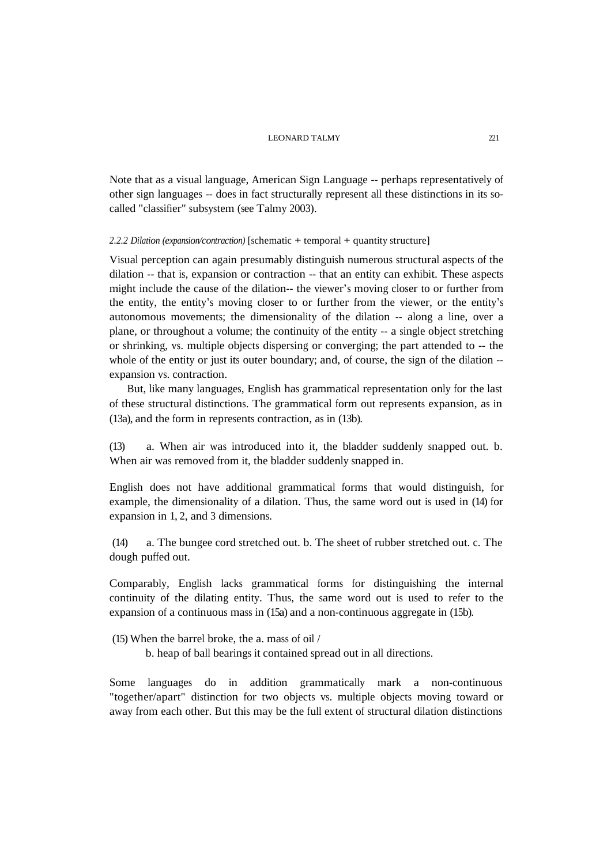Note that as a visual language, American Sign Language -- perhaps representatively of other sign languages -- does in fact structurally represent all these distinctions in its socalled "classifier" subsystem (see Talmy 2003).

# *2.2.2 Dilation (expansion/contraction)* [schematic + temporal + quantity structure]

Visual perception can again presumably distinguish numerous structural aspects of the dilation -- that is, expansion or contraction -- that an entity can exhibit. These aspects might include the cause of the dilation-- the viewer's moving closer to or further from the entity, the entity's moving closer to or further from the viewer, or the entity's autonomous movements; the dimensionality of the dilation -- along a line, over a plane, or throughout a volume; the continuity of the entity -- a single object stretching or shrinking, vs. multiple objects dispersing or converging; the part attended to -- the whole of the entity or just its outer boundary; and, of course, the sign of the dilation -expansion vs. contraction.

But, like many languages, English has grammatical representation only for the last of these structural distinctions. The grammatical form out represents expansion, as in (13a), and the form in represents contraction, as in (13b).

(13) a. When air was introduced into it, the bladder suddenly snapped out. b. When air was removed from it, the bladder suddenly snapped in.

English does not have additional grammatical forms that would distinguish, for example, the dimensionality of a dilation. Thus, the same word out is used in (14) for expansion in 1, 2, and 3 dimensions.

(14) a. The bungee cord stretched out. b. The sheet of rubber stretched out. c. The dough puffed out.

Comparably, English lacks grammatical forms for distinguishing the internal continuity of the dilating entity. Thus, the same word out is used to refer to the expansion of a continuous mass in (15a) and a non-continuous aggregate in (15b).

(15) When the barrel broke, the a. mass of oil /

b. heap of ball bearings it contained spread out in all directions.

Some languages do in addition grammatically mark a non-continuous "together/apart" distinction for two objects vs. multiple objects moving toward or away from each other. But this may be the full extent of structural dilation distinctions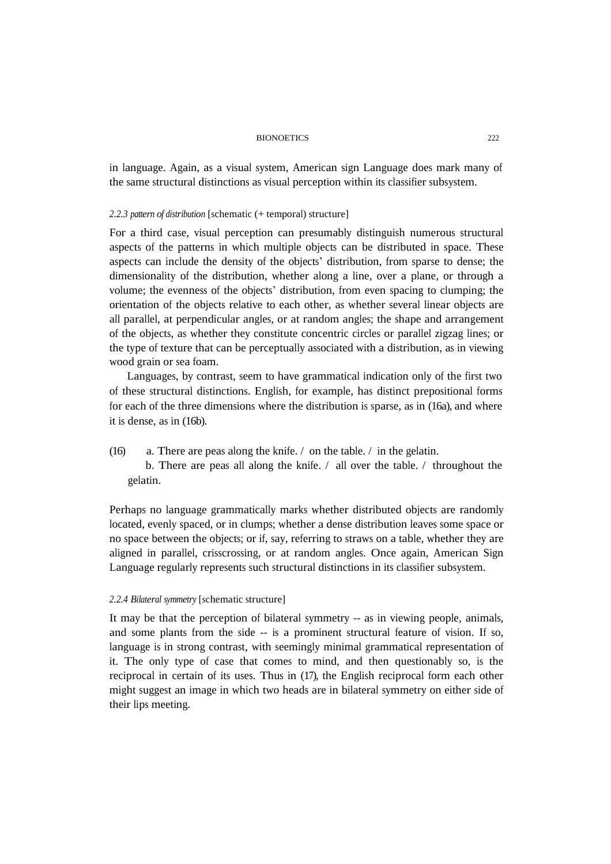in language. Again, as a visual system, American sign Language does mark many of the same structural distinctions as visual perception within its classifier subsystem.

### *2.2.3 pattern of distribution* [schematic (+ temporal) structure]

For a third case, visual perception can presumably distinguish numerous structural aspects of the patterns in which multiple objects can be distributed in space. These aspects can include the density of the objects' distribution, from sparse to dense; the dimensionality of the distribution, whether along a line, over a plane, or through a volume; the evenness of the objects' distribution, from even spacing to clumping; the orientation of the objects relative to each other, as whether several linear objects are all parallel, at perpendicular angles, or at random angles; the shape and arrangement of the objects, as whether they constitute concentric circles or parallel zigzag lines; or the type of texture that can be perceptually associated with a distribution, as in viewing wood grain or sea foam.

Languages, by contrast, seem to have grammatical indication only of the first two of these structural distinctions. English, for example, has distinct prepositional forms for each of the three dimensions where the distribution is sparse, as in (16a), and where it is dense, as in (16b).

(16) a. There are peas along the knife. / on the table. / in the gelatin. b. There are peas all along the knife. / all over the table. / throughout the gelatin.

Perhaps no language grammatically marks whether distributed objects are randomly located, evenly spaced, or in clumps; whether a dense distribution leaves some space or no space between the objects; or if, say, referring to straws on a table, whether they are aligned in parallel, crisscrossing, or at random angles. Once again, American Sign Language regularly represents such structural distinctions in its classifier subsystem.

### *2.2.4 Bilateral symmetry* [schematic structure]

It may be that the perception of bilateral symmetry -- as in viewing people, animals, and some plants from the side -- is a prominent structural feature of vision. If so, language is in strong contrast, with seemingly minimal grammatical representation of it. The only type of case that comes to mind, and then questionably so, is the reciprocal in certain of its uses. Thus in (17), the English reciprocal form each other might suggest an image in which two heads are in bilateral symmetry on either side of their lips meeting.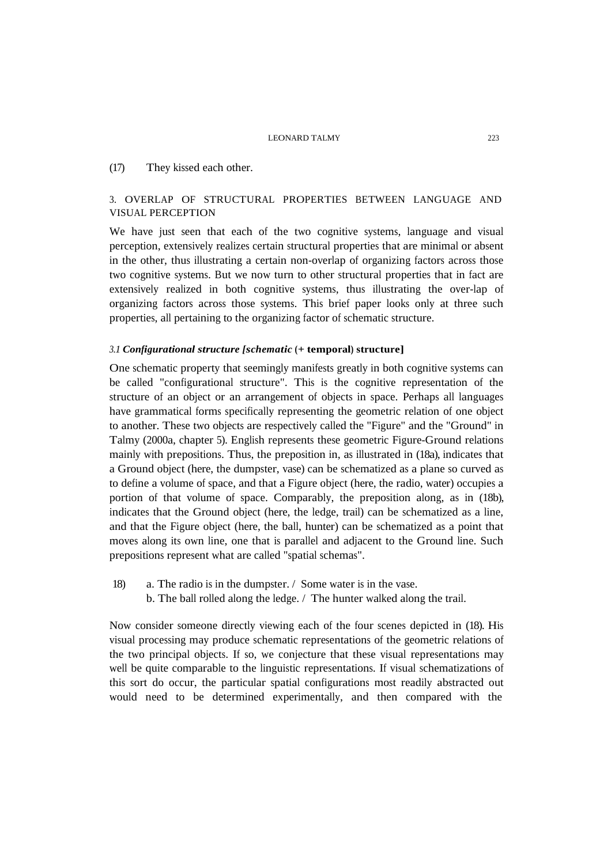### (17) They kissed each other.

# 3. OVERLAP OF STRUCTURAL PROPERTIES BETWEEN LANGUAGE AND VISUAL PERCEPTION

We have just seen that each of the two cognitive systems, language and visual perception, extensively realizes certain structural properties that are minimal or absent in the other, thus illustrating a certain non-overlap of organizing factors across those two cognitive systems. But we now turn to other structural properties that in fact are extensively realized in both cognitive systems, thus illustrating the over-lap of organizing factors across those systems. This brief paper looks only at three such properties, all pertaining to the organizing factor of schematic structure.

## *3.1 Configurational structure [schematic* **(+ temporal) structure]**

One schematic property that seemingly manifests greatly in both cognitive systems can be called "configurational structure". This is the cognitive representation of the structure of an object or an arrangement of objects in space. Perhaps all languages have grammatical forms specifically representing the geometric relation of one object to another. These two objects are respectively called the "Figure" and the "Ground" in Talmy (2000a, chapter 5). English represents these geometric Figure-Ground relations mainly with prepositions. Thus, the preposition in, as illustrated in (18a), indicates that a Ground object (here, the dumpster, vase) can be schematized as a plane so curved as to define a volume of space, and that a Figure object (here, the radio, water) occupies a portion of that volume of space. Comparably, the preposition along, as in (18b), indicates that the Ground object (here, the ledge, trail) can be schematized as a line, and that the Figure object (here, the ball, hunter) can be schematized as a point that moves along its own line, one that is parallel and adjacent to the Ground line. Such prepositions represent what are called "spatial schemas".

- 18) a. The radio is in the dumpster. / Some water is in the vase.
	- b. The ball rolled along the ledge. / The hunter walked along the trail.

Now consider someone directly viewing each of the four scenes depicted in (18). His visual processing may produce schematic representations of the geometric relations of the two principal objects. If so, we conjecture that these visual representations may well be quite comparable to the linguistic representations. If visual schematizations of this sort do occur, the particular spatial configurations most readily abstracted out would need to be determined experimentally, and then compared with the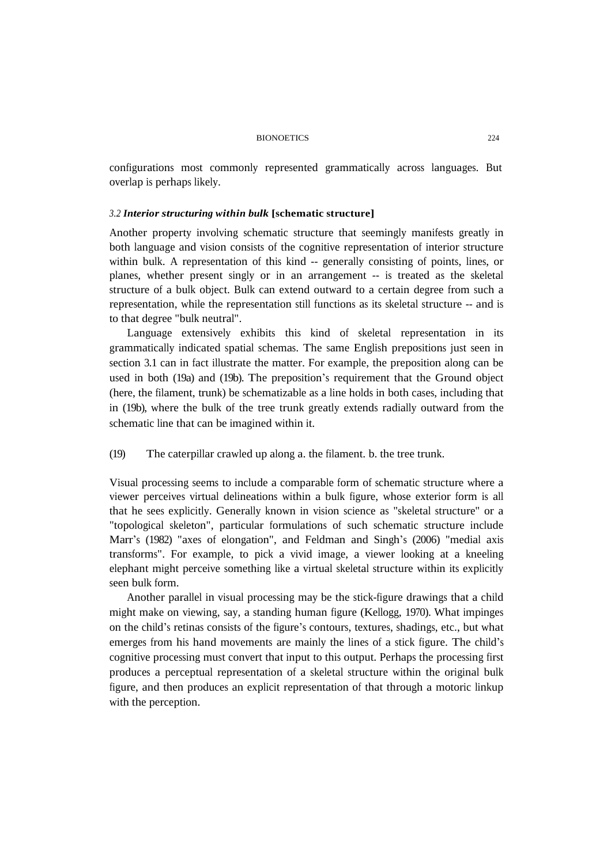configurations most commonly represented grammatically across languages. But overlap is perhaps likely.

### *3.2 Interior structuring within bulk* **[schematic structure]**

Another property involving schematic structure that seemingly manifests greatly in both language and vision consists of the cognitive representation of interior structure within bulk. A representation of this kind -- generally consisting of points, lines, or planes, whether present singly or in an arrangement -- is treated as the skeletal structure of a bulk object. Bulk can extend outward to a certain degree from such a representation, while the representation still functions as its skeletal structure -- and is to that degree "bulk neutral".

Language extensively exhibits this kind of skeletal representation in its grammatically indicated spatial schemas. The same English prepositions just seen in section 3.1 can in fact illustrate the matter. For example, the preposition along can be used in both (19a) and (19b). The preposition's requirement that the Ground object (here, the filament, trunk) be schematizable as a line holds in both cases, including that in (19b), where the bulk of the tree trunk greatly extends radially outward from the schematic line that can be imagined within it.

(19) The caterpillar crawled up along a. the filament. b. the tree trunk.

Visual processing seems to include a comparable form of schematic structure where a viewer perceives virtual delineations within a bulk figure, whose exterior form is all that he sees explicitly. Generally known in vision science as "skeletal structure" or a "topological skeleton", particular formulations of such schematic structure include Marr's (1982) "axes of elongation", and Feldman and Singh's (2006) "medial axis transforms". For example, to pick a vivid image, a viewer looking at a kneeling elephant might perceive something like a virtual skeletal structure within its explicitly seen bulk form.

Another parallel in visual processing may be the stick-figure drawings that a child might make on viewing, say, a standing human figure (Kellogg, 1970). What impinges on the child's retinas consists of the figure's contours, textures, shadings, etc., but what emerges from his hand movements are mainly the lines of a stick figure. The child's cognitive processing must convert that input to this output. Perhaps the processing first produces a perceptual representation of a skeletal structure within the original bulk figure, and then produces an explicit representation of that through a motoric linkup with the perception.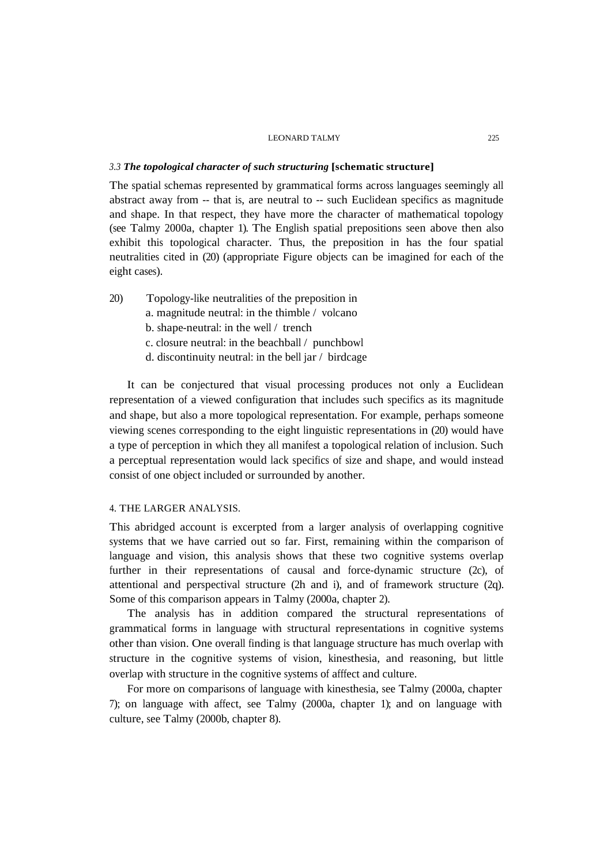### *3.3 The topological character of such structuring* **[schematic structure]**

The spatial schemas represented by grammatical forms across languages seemingly all abstract away from -- that is, are neutral to -- such Euclidean specifics as magnitude and shape. In that respect, they have more the character of mathematical topology (see Talmy 2000a, chapter 1). The English spatial prepositions seen above then also exhibit this topological character. Thus, the preposition in has the four spatial neutralities cited in (20) (appropriate Figure objects can be imagined for each of the eight cases).

20) Topology-like neutralities of the preposition in a. magnitude neutral: in the thimble / volcano b. shape-neutral: in the well / trench c. closure neutral: in the beachball / punchbowl d. discontinuity neutral: in the bell jar / birdcage

It can be conjectured that visual processing produces not only a Euclidean representation of a viewed configuration that includes such specifics as its magnitude and shape, but also a more topological representation. For example, perhaps someone viewing scenes corresponding to the eight linguistic representations in (20) would have a type of perception in which they all manifest a topological relation of inclusion. Such a perceptual representation would lack specifics of size and shape, and would instead consist of one object included or surrounded by another.

# 4. THE LARGER ANALYSIS.

This abridged account is excerpted from a larger analysis of overlapping cognitive systems that we have carried out so far. First, remaining within the comparison of language and vision, this analysis shows that these two cognitive systems overlap further in their representations of causal and force-dynamic structure (2c), of attentional and perspectival structure (2h and i), and of framework structure (2q). Some of this comparison appears in Talmy (2000a, chapter 2).

The analysis has in addition compared the structural representations of grammatical forms in language with structural representations in cognitive systems other than vision. One overall finding is that language structure has much overlap with structure in the cognitive systems of vision, kinesthesia, and reasoning, but little overlap with structure in the cognitive systems of afffect and culture.

For more on comparisons of language with kinesthesia, see Talmy (2000a, chapter 7); on language with affect, see Talmy (2000a, chapter 1); and on language with culture, see Talmy (2000b, chapter 8).